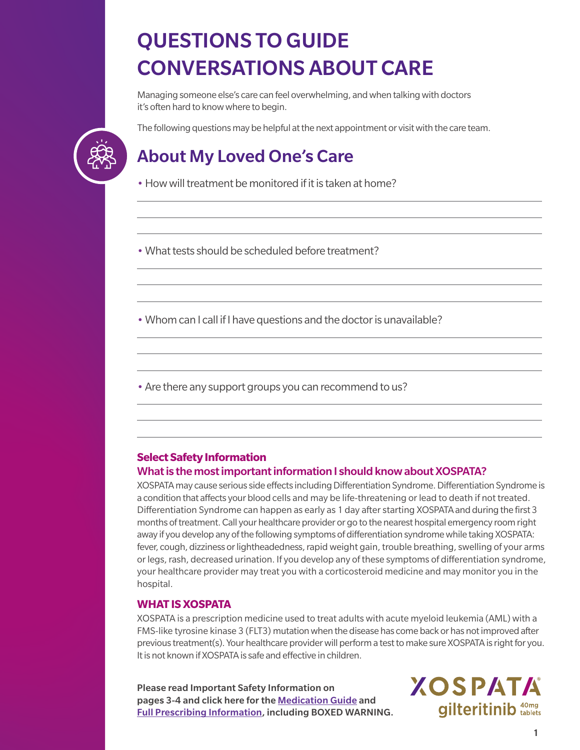# QUESTIONS TO GUIDE CONVERSATIONS ABOUT CARE

Managing someone else's care can feel overwhelming, and when talking with doctors it's often hard to know where to begin.

The following questions may be helpful at the next appointment or visit with the care team.

### About My Loved One's Care

• How will treatment be monitored if it is taken at home?

• What tests should be scheduled before treatment?

• Whom can I call if I have questions and the doctor is unavailable?

• Are there any support groups you can recommend to us?

#### **Select Safety Information** What is the most important information I should know about XOSPATA?

XOSPATA may cause serious side effects including Differentiation Syndrome. Differentiation Syndrome is a condition that affects your blood cells and may be life-threatening or lead to death if not treated. Differentiation Syndrome can happen as early as 1 day after starting XOSPATA and during the first 3 months of treatment. Call your healthcare provider or go to the nearest hospital emergency room right away if you develop any of the following symptoms of differentiation syndrome while taking XOSPATA: fever, cough, dizziness or lightheadedness, rapid weight gain, trouble breathing, swelling of your arms or legs, rash, decreased urination. If you develop any of these symptoms of differentiation syndrome, your healthcare provider may treat you with a corticosteroid medicine and may monitor you in the hospital.

#### **WHAT IS XOSPATA**

XOSPATA is a prescription medicine used to treat adults with acute myeloid leukemia (AML) with a FMS-like tyrosine kinase 3 (FLT3) mutation when the disease has come back or has not improved after previous treatment(s). Your healthcare provider will perform a test to make sure XOSPATA is right for you. It is not known if XOSPATA is safe and effective in children.

Please read Important Safety Information on pages 3-4 and click here for the [Medication Guide](https://astellas.us/docs/Xospata_U.S.MedicationGuide(PatientInformation).pdf) and [Full Prescribing Information,](https://astellas.us/docs/xospata.pdf) including BOXED WARNING. **XOSPATA** gilteritinib <sup>40mg</sup>

1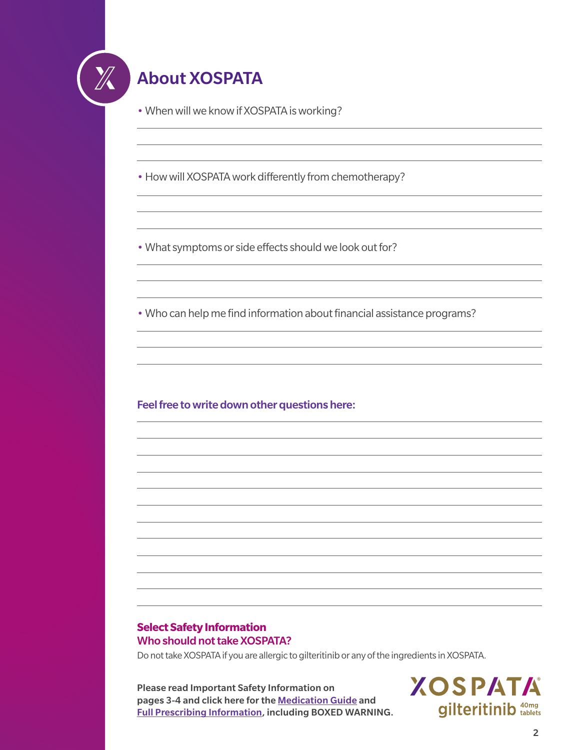

## About XOSPATA

• When will we know if XOSPATA is working?

• How will XOSPATA work differently from chemotherapy?

• What symptoms or side effects should we look out for?

• Who can help me find information about financial assistance programs?

Feel free to write down other questions here:

#### **Select Safety Information** Who should not take XOSPATA?

Do not take XOSPATA if you are allergic to gilteritinib or any of the ingredients in XOSPATA.

Please read Important Safety Information on pages 3-4 and click here for the [Medication Guide](https://astellas.us/docs/Xospata_U.S.MedicationGuide(PatientInformation).pdf) and [Full Prescribing Information,](https://astellas.us/docs/xospata.pdf) including BOXED WARNING. **XOSPATA gilteritinib** tablets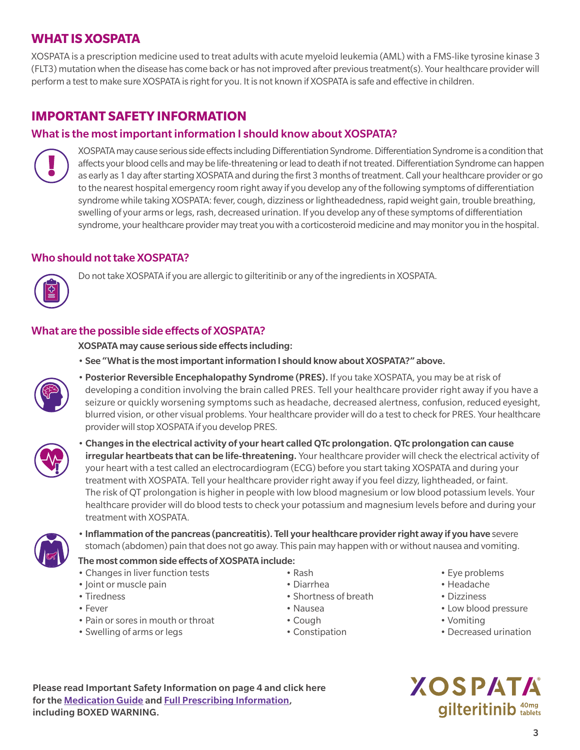#### **WHAT IS XOSPATA**

XOSPATA is a prescription medicine used to treat adults with acute myeloid leukemia (AML) with a FMS-like tyrosine kinase 3 (FLT3) mutation when the disease has come back or has not improved after previous treatment(s). Your healthcare provider will perform a test to make sure XOSPATA is right for you. It is not known if XOSPATA is safe and effective in children.

### **IMPORTANT SAFETY INFORMATION**

#### What is the most important information I should know about XOSPATA?



XOSPATA may cause serious side effects including Differentiation Syndrome. Differentiation Syndrome is a condition that affects your blood cells and may be life-threatening or lead to death if not treated. Differentiation Syndrome can happen as early as 1 day after starting XOSPATA and during the first 3 months of treatment. Call your healthcare provider or go to the nearest hospital emergency room right away if you develop any of the following symptoms of differentiation syndrome while taking XOSPATA: fever, cough, dizziness or lightheadedness, rapid weight gain, trouble breathing, swelling of your arms or legs, rash, decreased urination. If you develop any of these symptoms of differentiation syndrome, your healthcare provider may treat you with a corticosteroid medicine and may monitor you in the hospital.

#### Who should not take XOSPATA?



Do not take XOSPATA if you are allergic to gilteritinib or any of the ingredients in XOSPATA.

#### What are the possible side effects of XOSPATA?

XOSPATA may cause serious side effects including:

• See "What is the most important information I should know about XOSPATA?" above.



• Posterior Reversible Encephalopathy Syndrome (PRES). If you take XOSPATA, you may be at risk of developing a condition involving the brain called PRES. Tell your healthcare provider right away if you have a seizure or quickly worsening symptoms such as headache, decreased alertness, confusion, reduced eyesight, blurred vision, or other visual problems. Your healthcare provider will do a test to check for PRES. Your healthcare provider will stop XOSPATA if you develop PRES.



• Changes in the electrical activity of your heart called QTc prolongation. QTc prolongation can cause **irregular heartbeats that can be life-threatening.** Your healthcare provider will check the electrical activity of your heart with a test called an electrocardiogram (ECG) before you start taking XOSPATA and during your treatment with XOSPATA. Tell your healthcare provider right away if you feel dizzy, lightheaded, or faint. The risk of QT prolongation is higher in people with low blood magnesium or low blood potassium levels. Your healthcare provider will do blood tests to check your potassium and magnesium levels before and during your treatment with XOSPATA.



• Inflammation of the pancreas (pancreatitis). Tell your healthcare provider right away if you have severe stomach (abdomen) pain that does not go away. This pain may happen with or without nausea and vomiting.

#### The most common side effects of XOSPATA include:

- 
- Tiredness Shortness of breath Pizziness Shortness of breath Pizziness
- 
- Pain or sores in mouth or throat Cough Vomiting Vomiting
- Swelling of arms or legs  **Constipation** Constipation Constitution Decreased urination
- 
- -
- Changes in liver function tests Rash Rash Eye problems
- Joint or muscle pain **Diarrhea** Diarrhea **Headache** Headache
	-
- Fever Pressure Nausea Nausea Pressure Low blood pressure
	-
	-

**XOSPATA gilteritinib** tablets

Please read Important Safety Information on page 4 and click here for the [Medication Guide](https://astellas.us/docs/Xospata_U.S.MedicationGuide(PatientInformation).pdf) and [Full Prescribing Information](https://astellas.us/docs/xospata.pdf), including BOXED WARNING.